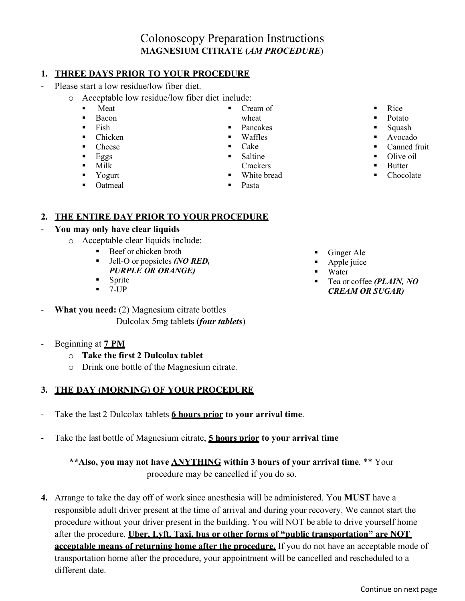# Colonoscopy Preparation Instructions **MAGNESIUM CITRATE (***AM PROCEDURE*)

#### **1. THREE DAYS PRIOR TO YOUR PROCEDURE**

- Please start a low residue/low fiber diet.
	- o Acceptable low residue/low fiber diet include:
		- Meat
		- **Bacon**
		- $\blacksquare$  Fish
		- Chicken
		- Cheese
		- $Eggs$
		- Milk
		- **v** Yogurt
		- Oatmeal

 $\blacksquare$  Cake

Cream of

- $\blacksquare$  Saltine
- 
- White bread
- 
- Rice
	- Potato
- Squash
- Avocado
- Canned fruit
- Olive oil
- **Butter**
- Chocolate

## **2. THE ENTIRE DAY PRIOR TO YOUR PROCEDURE**

#### - **You may only have clear liquids**

- o Acceptable clear liquids include:
	- Beef or chicken broth
	- Jell-O or popsicles *(NO RED, PURPLE OR ORANGE)*
	- **Sprite**
	- $-7$ -UP
- **What you need:** (2) Magnesium citrate bottles Dulcolax 5mg tablets (*four tablets*)
- Beginning at **7 PM** 
	- o **Take the first 2 Dulcolax tablet**
	- o Drink one bottle of the Magnesium citrate.

#### **3. THE DAY (MORNING) OF YOUR PROCEDURE**

- Take the last 2 Dulcolax tablets **6 hours prior to your arrival time**.
- Take the last bottle of Magnesium citrate, **5 hours prior to your arrival time**

#### **\*\*Also, you may not have ANYTHING within 3 hours of your arrival time**. \*\* Your procedure may be cancelled if you do so.

**4.** Arrange to take the day off of work since anesthesia will be administered. You **MUST** have a responsible adult driver present at the time of arrival and during your recovery. We cannot start the procedure without your driver present in the building. You will NOT be able to drive yourself home after the procedure. **Uber, Lyft, Taxi, bus or other forms of "public transportation" are NOT acceptable means of returning home after the procedure.** If you do not have an acceptable mode of transportation home after the procedure, your appointment will be cancelled and rescheduled to a different date.

- Ginger Ale
- Apple juice
- Water
- Tea or coffee *(PLAIN, NO CREAM OR SUGAR)*
- **Waffles** 
	-
	- **Crackers**
	-
	-
- 
- - **Pasta**
- wheat **Pancakes**